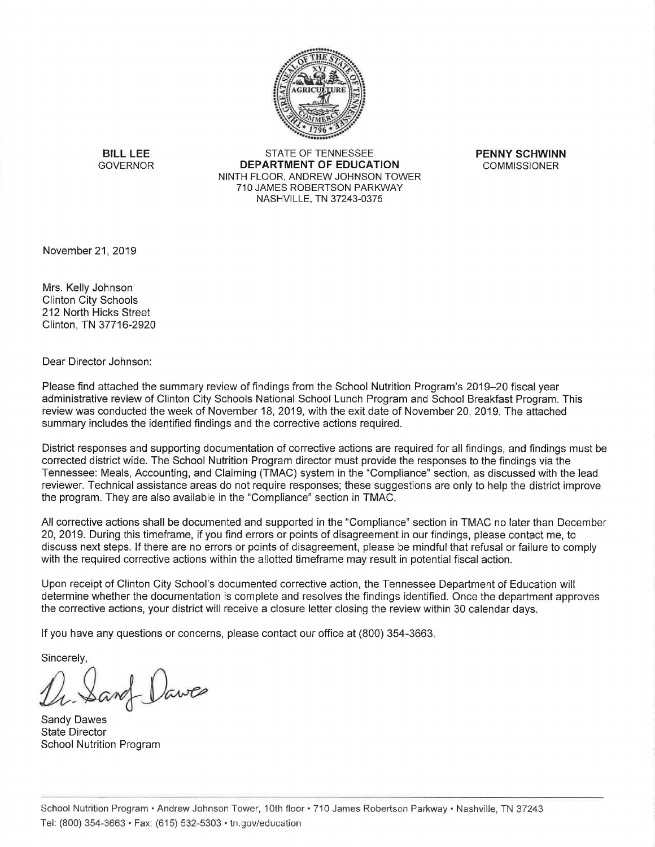

**BILL LEE** STATE OF TENNESSEE **PENNY SCHWINN**  DEPARTMENT OF EDUCATION **COMMISSIONER** NINTH FLOOR, ANDREW JOHNSON TOWER 710 JAMES ROBERTSON PARKWAY NASHVILLE, TN 37243-0375

November 21, 2019

Mrs. Kelly Johnson Clinton City Schools 212 North Hicks Street Clinton, TN 37716-2920

Dear Director Johnson:

Please find attached the summary review of findings from the School Nutrition Program's 2019-20 fiscal year administrative review of Clinton City Schools National School Lunch Program and School Breakfast Program. This review was conducted the week of November 18, 2019, with the exit date of November 20, 2019. The attached summary includes the identified findings and the corrective actions required.

District responses and supporting documentation of corrective actions are required for all findings, and findings must be corrected district wide. The School Nutrition Program director must provide the responses to the findings via the Tennessee: Meals, Accounting, and Claiming (TMAC) system in the "Compliance" section, as discussed with the lead reviewer. Technical assistance areas do not require responses; these suggestions are only to help the district improve the program. They are also available in the "Compliance" section in TMAC.

All corrective actions shall be documented and supported in the "Compliance" section in TMAC no later than December 20, 2019. During this timeframe, if you find errors or points of disagreement in our findings, please contact me, to discuss next steps. If there are no errors or points of disagreement, please be mindful that refusal or failure to comply with the required corrective actions within the allotted timeframe may result in potential fiscal action.

Upon receipt of Clinton City School's documented corrective action, the Tennessee Department of Education will determine whether the documentation is complete and resolves the findings identified. Once the department approves the corrective actions, your district will receive a closure letter closing the review within 30 calendar days.

If you have any questions or concerns, please contact our office at (800) 354-3663.

Sincerely,

Dr. Sand Dawes

Sandy Dawes State Director School Nutrition Program